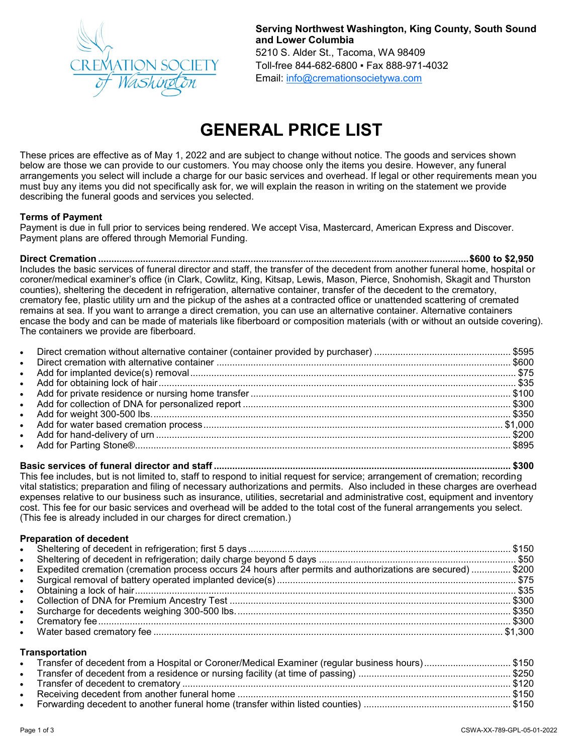

**Serving Northwest Washington, King County, South Sound and Lower Columbia** 5210 S. Alder St., Tacoma, WA 98409 Toll-free 844-682-6800 ▪ Fax 888-971-4032 Email: [info@cremationsocietywa.com](mailto:info@cremationsocietywa.com)

# **GENERAL PRICE LIST**

These prices are effective as of May 1, 2022 and are subject to change without notice. The goods and services shown below are those we can provide to our customers. You may choose only the items you desire. However, any funeral arrangements you select will include a charge for our basic services and overhead. If legal or other requirements mean you must buy any items you did not specifically ask for, we will explain the reason in writing on the statement we provide describing the funeral goods and services you selected.

### **Terms of Payment**

Payment is due in full prior to services being rendered. We accept Visa, Mastercard, American Express and Discover. Payment plans are offered through Memorial Funding.

**Direct Cremation .............................................................................................................................................\$600 to \$2,950** Includes the basic services of funeral director and staff, the transfer of the decedent from another funeral home, hospital or coroner/medical examiner's office (in Clark, Cowlitz, King, Kitsap, Lewis, Mason, Pierce, Snohomish, Skagit and Thurston counties), sheltering the decedent in refrigeration, alternative container, transfer of the decedent to the crematory, crematory fee, plastic utility urn and the pickup of the ashes at a contracted office or unattended scattering of cremated remains at sea. If you want to arrange a direct cremation, you can use an alternative container. Alternative containers encase the body and can be made of materials like fiberboard or composition materials (with or without an outside covering). The containers we provide are fiberboard.

| $\bullet$ |  |
|-----------|--|
|           |  |
|           |  |
|           |  |
|           |  |
|           |  |
|           |  |
|           |  |
|           |  |
|           |  |

**Basic services of funeral director and staff ................................................................................................................. \$300** This fee includes, but is not limited to, staff to respond to initial request for service; arrangement of cremation; recording vital statistics; preparation and filing of necessary authorizations and permits. Also included in these charges are overhead expenses relative to our business such as insurance, utilities, secretarial and administrative cost, equipment and inventory cost. This fee for our basic services and overhead will be added to the total cost of the funeral arrangements you select. (This fee is already included in our charges for direct cremation.)

### **Preparation of decedent**

| • Expedited cremation (cremation process occurs 24 hours after permits and authorizations are secured)  \$200 |
|---------------------------------------------------------------------------------------------------------------|
|                                                                                                               |
|                                                                                                               |
|                                                                                                               |
|                                                                                                               |
|                                                                                                               |
|                                                                                                               |
|                                                                                                               |

### **Transportation**

| Transfer of decedent from a Hospital or Coroner/Medical Examiner (regular business hours)\$150 |  |  |
|------------------------------------------------------------------------------------------------|--|--|
|                                                                                                |  |  |
|                                                                                                |  |  |
|                                                                                                |  |  |
|                                                                                                |  |  |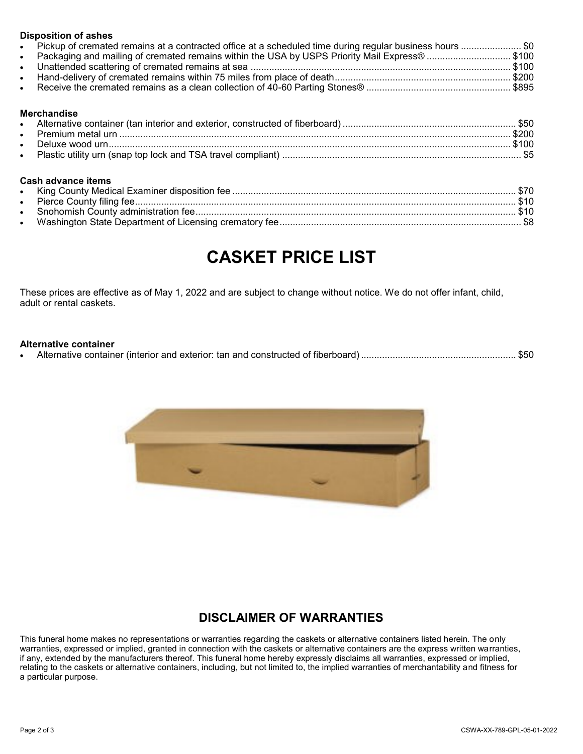| <b>Disposition of ashes</b>                                                                                |  |
|------------------------------------------------------------------------------------------------------------|--|
| • Pickup of cremated remains at a contracted office at a scheduled time during regular business hours  \$0 |  |
| • Packaging and mailing of cremated remains within the USA by USPS Priority Mail Express® \$100            |  |
|                                                                                                            |  |
|                                                                                                            |  |
|                                                                                                            |  |

### **Merchandise**

| $\bullet$ |  |
|-----------|--|
|           |  |
| $\bullet$ |  |

### **Cash advance items**

## **CASKET PRICE LIST**

These prices are effective as of May 1, 2022 and are subject to change without notice. We do not offer infant, child, adult or rental caskets.

### **Alternative container**

• Alternative container (interior and exterior: tan and constructed of fiberboard) ........................................................... \$50



### **DISCLAIMER OF WARRANTIES**

This funeral home makes no representations or warranties regarding the caskets or alternative containers listed herein. The only warranties, expressed or implied, granted in connection with the caskets or alternative containers are the express written warranties, if any, extended by the manufacturers thereof. This funeral home hereby expressly disclaims all warranties, expressed or implied, relating to the caskets or alternative containers, including, but not limited to, the implied warranties of merchantability and fitness for a particular purpose.